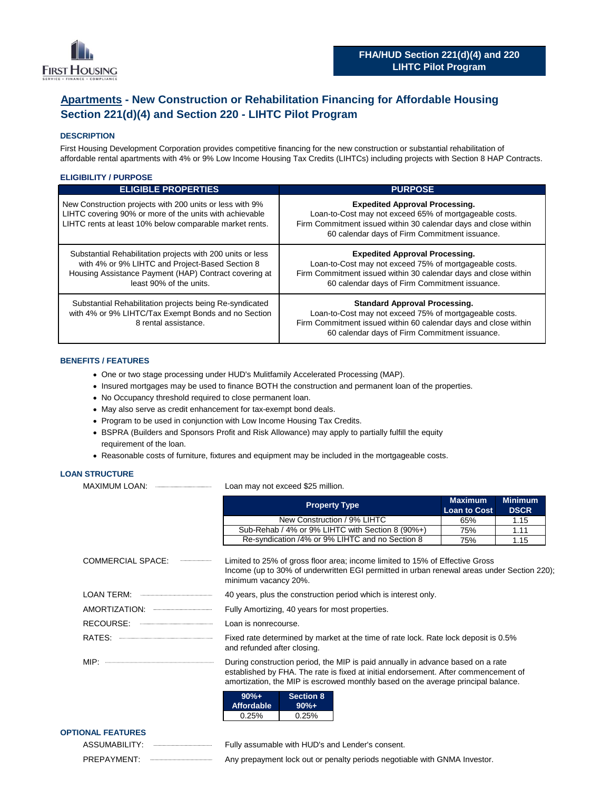

# **Apartments - New Construction or Rehabilitation Financing for Affordable Housing Section 221(d)(4) and Section 220 - LIHTC Pilot Program**

# **DESCRIPTION**

First Housing Development Corporation provides competitive financing for the new construction or substantial rehabilitation of affordable rental apartments with 4% or 9% Low Income Housing Tax Credits (LIHTCs) including projects with Section 8 HAP Contracts.

## **ELIGIBILITY / PURPOSE**

| <b>ELIGIBLE PROPERTIES</b>                                                                                                                                                                        | <b>PURPOSE</b>                                                                                                                                                                                                      |
|---------------------------------------------------------------------------------------------------------------------------------------------------------------------------------------------------|---------------------------------------------------------------------------------------------------------------------------------------------------------------------------------------------------------------------|
| New Construction projects with 200 units or less with 9%<br>LIHTC covering 90% or more of the units with achievable<br>LIHTC rents at least 10% below comparable market rents.                    | <b>Expedited Approval Processing.</b><br>Loan-to-Cost may not exceed 65% of mortgageable costs.<br>Firm Commitment issued within 30 calendar days and close within<br>60 calendar days of Firm Commitment issuance. |
| Substantial Rehabilitation projects with 200 units or less<br>with 4% or 9% LIHTC and Project-Based Section 8<br>Housing Assistance Payment (HAP) Contract covering at<br>least 90% of the units. | <b>Expedited Approval Processing.</b><br>Loan-to-Cost may not exceed 75% of mortgageable costs.<br>Firm Commitment issued within 30 calendar days and close within<br>60 calendar days of Firm Commitment issuance. |
| Substantial Rehabilitation projects being Re-syndicated<br>with 4% or 9% LIHTC/Tax Exempt Bonds and no Section<br>8 rental assistance.                                                            | <b>Standard Approval Processing.</b><br>Loan-to-Cost may not exceed 75% of mortgageable costs.<br>Firm Commitment issued within 60 calendar days and close within<br>60 calendar days of Firm Commitment issuance.  |

#### **BENEFITS / FEATURES**

- One or two stage processing under HUD's Mulitfamily Accelerated Processing (MAP).
- **∙** Insured mortgages may be used to finance BOTH the construction and permanent loan of the properties.
- **∙** No Occupancy threshold required to close permanent loan.
- **∙** May also serve as credit enhancement for tax-exempt bond deals.
- Program to be used in conjunction with Low Income Housing Tax Credits.
- BSPRA (Builders and Sponsors Profit and Risk Allowance) may apply to partially fulfill the equity requirement of the loan.
- **∙** Reasonable costs of furniture, fixtures and equipment may be included in the mortgageable costs.

## **LOAN STRUCTURE**

MAXIMUM LOAN: Loan may not exceed \$25 million.

|                              | <b>Property Type</b>                                                                                                                                                                               | <b>Maximum</b><br><b>Loan to Cost</b> | <b>Minimum</b><br><b>DSCR</b> |
|------------------------------|----------------------------------------------------------------------------------------------------------------------------------------------------------------------------------------------------|---------------------------------------|-------------------------------|
|                              | New Construction / 9% LIHTC                                                                                                                                                                        | 65%                                   | 1.15                          |
|                              | Sub-Rehab / 4% or 9% LIHTC with Section 8 (90%+)                                                                                                                                                   | 75%                                   | 1.11                          |
|                              | Re-syndication /4% or 9% LIHTC and no Section 8                                                                                                                                                    | 75%                                   | 1.15                          |
| <b>COMMERCIAL SPACE:</b><br> | Limited to 25% of gross floor area; income limited to 15% of Effective Gross<br>Income (up to 30% of underwritten EGI permitted in urban renewal areas under Section 220);<br>minimum vacancy 20%. |                                       |                               |

| LOAN TERM: | 40 years, plus the construction period which is interest only. |
|------------|----------------------------------------------------------------|
|------------|----------------------------------------------------------------|

AMORTIZATION: Fully Amortizing, 40 years for most properties.

RECOURSE: Loan is nonrecourse.

RATES:  $\frac{1}{100}$  RATES:  $\frac{1}{100}$  Rate lock deposit is 0.5% and refunded after closing.

MIP: **WIP: 2000** MIP: **During construction period**, the MIP is paid annually in advance based on a rate established by FHA. The rate is fixed at initial endorsement. After commencement of amortization, the MIP is escrowed monthly based on the average principal balance.

| $90%+$            | <b>Section 8</b> |
|-------------------|------------------|
| <b>Affordable</b> | $90%+$           |
| 0.25%             | 0.25%            |

## **OPTIONAL FEATURES**

|             | Fully assumable with HUD's and Lender's consent.                          |
|-------------|---------------------------------------------------------------------------|
| PREPAYMENT: | Any prepayment lock out or penalty periods negotiable with GNMA Investor. |